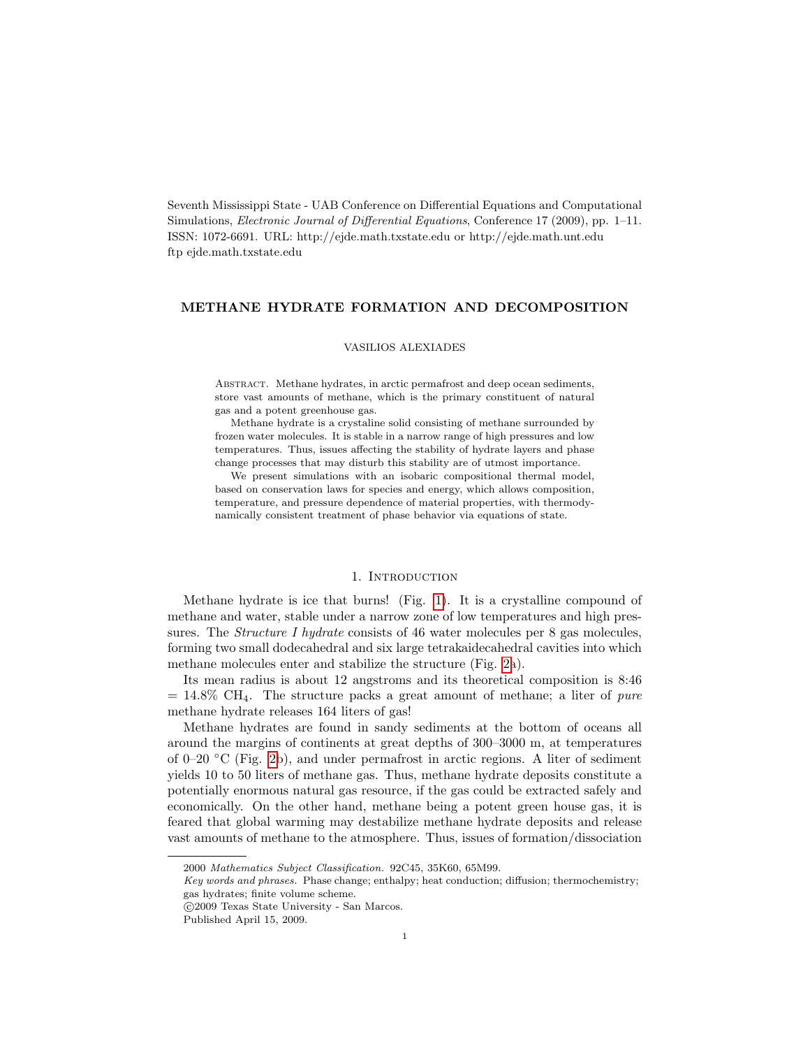Seventh Mississippi State - UAB Conference on Differential Equations and Computational Simulations, Electronic Journal of Differential Equations, Conference 17 (2009), pp. 1–11. ISSN: 1072-6691. URL: http://ejde.math.txstate.edu or http://ejde.math.unt.edu ftp ejde.math.txstate.edu

# METHANE HYDRATE FORMATION AND DECOMPOSITION

#### VASILIOS ALEXIADES

ABSTRACT. Methane hydrates, in arctic permafrost and deep ocean sediments, store vast amounts of methane, which is the primary constituent of natural gas and a potent greenhouse gas.

Methane hydrate is a crystaline solid consisting of methane surrounded by frozen water molecules. It is stable in a narrow range of high pressures and low temperatures. Thus, issues affecting the stability of hydrate layers and phase change processes that may disturb this stability are of utmost importance.

We present simulations with an isobaric compositional thermal model, based on conservation laws for species and energy, which allows composition, temperature, and pressure dependence of material properties, with thermodynamically consistent treatment of phase behavior via equations of state.

# 1. INTRODUCTION

Methane hydrate is ice that burns! (Fig. [1\)](#page-1-0). It is a crystalline compound of methane and water, stable under a narrow zone of low temperatures and high pressures. The *Structure I hydrate* consists of 46 water molecules per 8 gas molecules, forming two small dodecahedral and six large tetrakaidecahedral cavities into which methane molecules enter and stabilize the structure (Fig. [2a](#page-1-1)).

Its mean radius is about 12 angstroms and its theoretical composition is 8:46  $= 14.8\%$  CH<sub>4</sub>. The structure packs a great amount of methane; a liter of *pure* methane hydrate releases 164 liters of gas!

Methane hydrates are found in sandy sediments at the bottom of oceans all around the margins of continents at great depths of 300–3000 m, at temperatures of 0–20  $\rm{°C}$  (Fig. [2b](#page-1-1)), and under permafrost in arctic regions. A liter of sediment yields 10 to 50 liters of methane gas. Thus, methane hydrate deposits constitute a potentially enormous natural gas resource, if the gas could be extracted safely and economically. On the other hand, methane being a potent green house gas, it is feared that global warming may destabilize methane hydrate deposits and release vast amounts of methane to the atmosphere. Thus, issues of formation/dissociation

<sup>2000</sup> Mathematics Subject Classification. 92C45, 35K60, 65M99.

Key words and phrases. Phase change; enthalpy; heat conduction; diffusion; thermochemistry; gas hydrates; finite volume scheme.

c 2009 Texas State University - San Marcos.

Published April 15, 2009.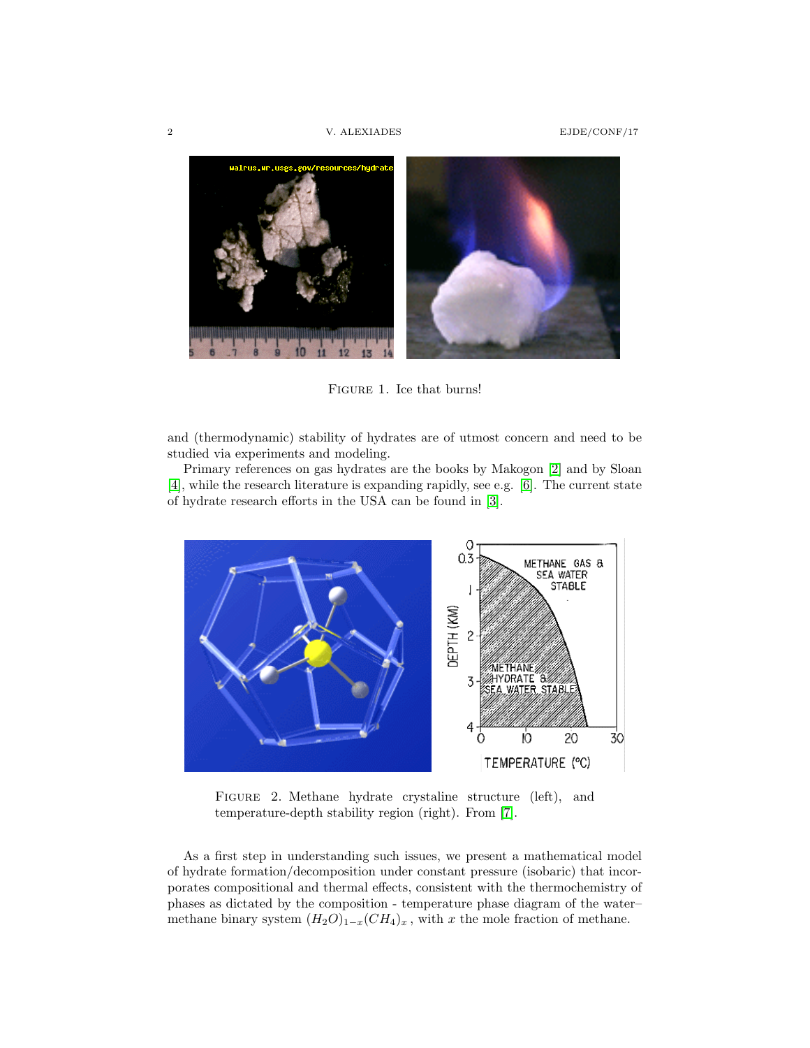

Figure 1. Ice that burns!

<span id="page-1-0"></span>and (thermodynamic) stability of hydrates are of utmost concern and need to be studied via experiments and modeling.

Primary references on gas hydrates are the books by Makogon [\[2\]](#page-10-0) and by Sloan [\[4\]](#page-10-1), while the research literature is expanding rapidly, see e.g. [\[6\]](#page-10-2). The current state of hydrate research efforts in the USA can be found in [\[3\]](#page-10-3).



<span id="page-1-1"></span>FIGURE 2. Methane hydrate crystaline structure (left), and temperature-depth stability region (right). From [\[7\]](#page-10-4).

As a first step in understanding such issues, we present a mathematical model of hydrate formation/decomposition under constant pressure (isobaric) that incorporates compositional and thermal effects, consistent with the thermochemistry of phases as dictated by the composition - temperature phase diagram of the water– methane binary system  $(H_2O)_{1-x}(CH_4)_x$ , with x the mole fraction of methane.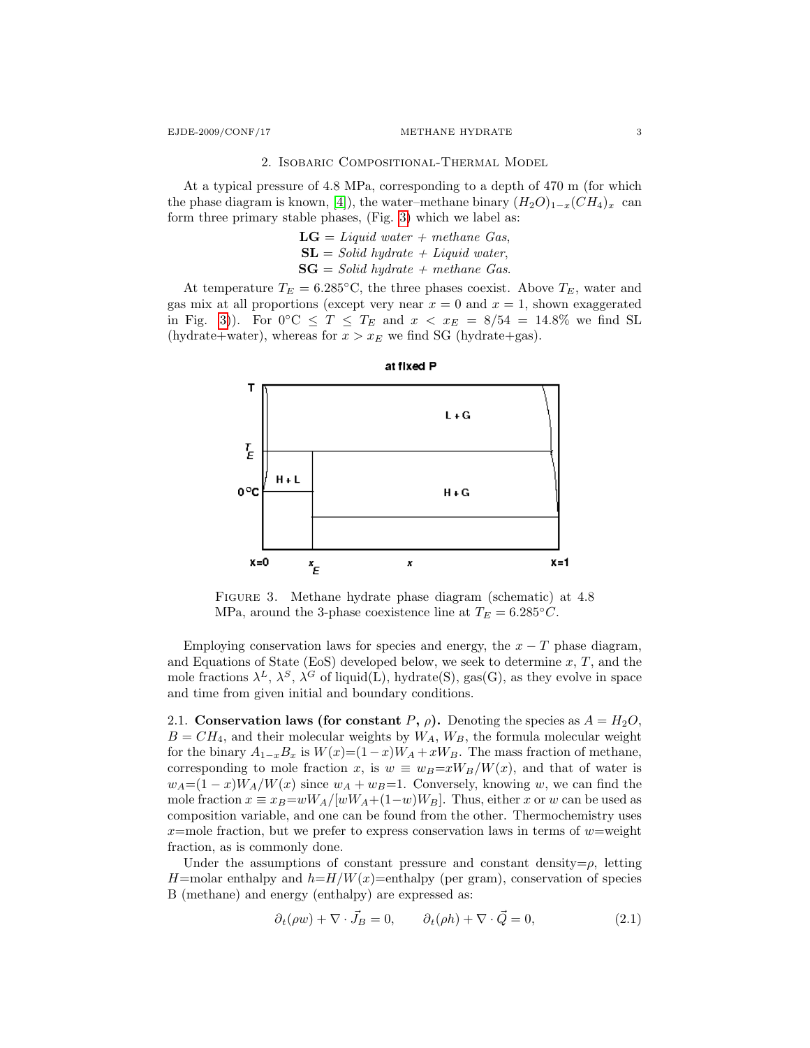### 2. Isobaric Compositional-Thermal Model

At a typical pressure of 4.8 MPa, corresponding to a depth of 470 m (for which the phase diagram is known, [\[4\]](#page-10-1)), the water–methane binary  $(H_2O)_{1-x}(CH_4)_x$  can form three primary stable phases, (Fig. [3\)](#page-2-0) which we label as:

> $LG = Liquid \ water + methane \ Gas$ ,  $SL = Solid\ hydrate + Liquid\ water,$  $SG = Solid\ hydrate + methane\ Gas.$

At temperature  $T_E = 6.285^{\circ}\text{C}$ , the three phases coexist. Above  $T_E$ , water and gas mix at all proportions (except very near  $x = 0$  and  $x = 1$ , shown exaggerated in Fig. [3\)](#page-2-0)). For  $0 °C \leq T \leq T_E$  and  $x < x_E = 8/54 = 14.8\%$  we find SL (hydrate+water), whereas for  $x > x_E$  we find SG (hydrate+gas).



at fixed P

<span id="page-2-0"></span>FIGURE 3. Methane hydrate phase diagram (schematic) at 4.8 MPa, around the 3-phase coexistence line at  $T_E = 6.285 \degree C$ .

Employing conservation laws for species and energy, the  $x - T$  phase diagram, and Equations of State (EoS) developed below, we seek to determine  $x, T$ , and the mole fractions  $\lambda^L$ ,  $\lambda^S$ ,  $\lambda^G$  of liquid(L), hydrate(S), gas(G), as they evolve in space and time from given initial and boundary conditions.

2.1. Conservation laws (for constant P,  $\rho$ ). Denoting the species as  $A = H_2O$ ,  $B = CH<sub>4</sub>$ , and their molecular weights by  $W<sub>A</sub>$ ,  $W<sub>B</sub>$ , the formula molecular weight for the binary  $A_{1-x}B_x$  is  $W(x)=(1-x)W_A+xW_B$ . The mass fraction of methane, corresponding to mole fraction x, is  $w \equiv w_B = xW_B/W(x)$ , and that of water is  $w_A=(1-x)W_A/W(x)$  since  $w_A+w_B=1$ . Conversely, knowing w, we can find the mole fraction  $x \equiv x_B=wW_A/[wW_A+(1-w)W_B]$ . Thus, either x or w can be used as composition variable, and one can be found from the other. Thermochemistry uses  $x$ =mole fraction, but we prefer to express conservation laws in terms of  $w$ =weight fraction, as is commonly done.

Under the assumptions of constant pressure and constant density= $\rho$ , letting H=molar enthalpy and  $h=H/W(x)$ =enthalpy (per gram), conservation of species B (methane) and energy (enthalpy) are expressed as:

$$
\partial_t(\rho w) + \nabla \cdot \vec{J}_B = 0, \qquad \partial_t(\rho h) + \nabla \cdot \vec{Q} = 0,
$$
\n(2.1)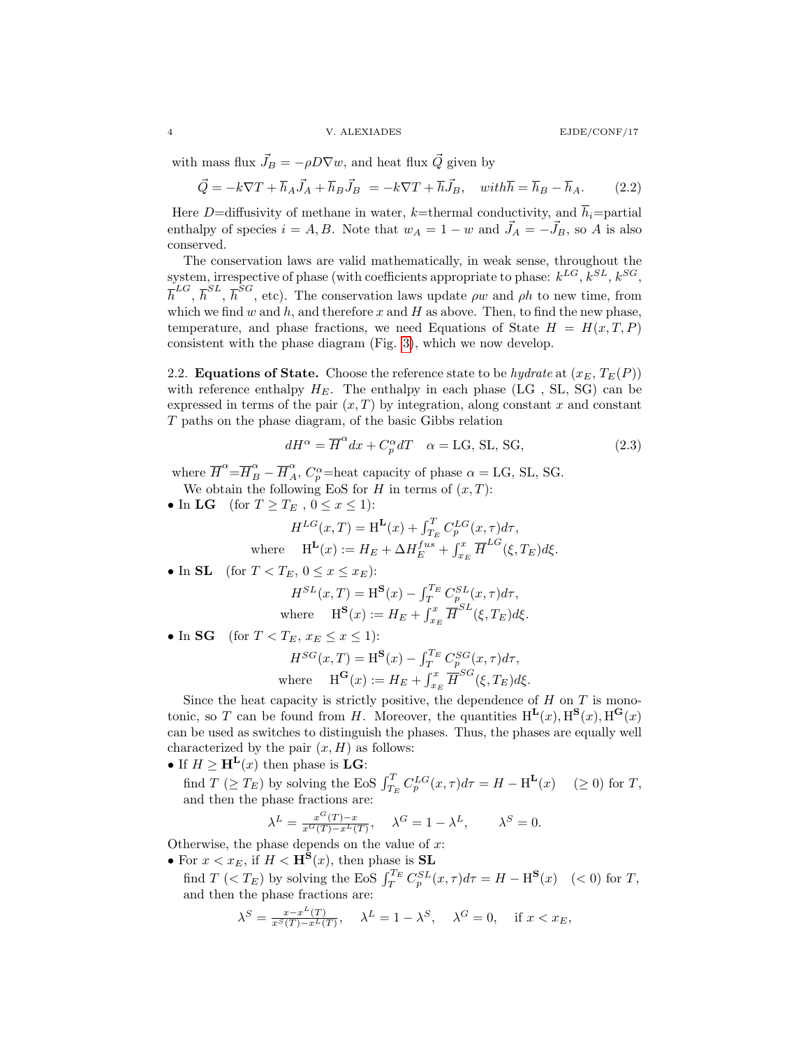with mass flux  $\vec{J}_B = -\rho D \nabla w$ , and heat flux  $\vec{Q}$  given by

$$
\vec{Q} = -k\nabla T + \overline{h}_A \vec{J}_A + \overline{h}_B \vec{J}_B = -k\nabla T + \overline{h} \vec{J}_B, \quad with \overline{h} = \overline{h}_B - \overline{h}_A. \tag{2.2}
$$

Here D=diffusivity of methane in water, k=thermal conductivity, and  $\bar{h}_i$ =partial enthalpy of species  $i = A, B$ . Note that  $w_A = 1 - w$  and  $\vec{J}_A = -\vec{J}_B$ , so A is also conserved.

The conservation laws are valid mathematically, in weak sense, throughout the system, irrespective of phase (with coefficients appropriate to phase:  $k^{LG}$ ,  $k^{SL}$ ,  $k^{SG}$ ,  $\overline{h}^{LG}, \overline{h}^{SL}, \overline{h}^{SG},$  etc). The conservation laws update  $\rho w$  and  $\rho h$  to new time, from which we find  $w$  and  $h$ , and therefore  $x$  and  $H$  as above. Then, to find the new phase, temperature, and phase fractions, we need Equations of State  $H = H(x, T, P)$ consistent with the phase diagram (Fig. [3\)](#page-2-0), which we now develop.

2.2. **Equations of State.** Choose the reference state to be *hydrate* at  $(x_E, T_E(P))$ with reference enthalpy  $H_E$ . The enthalpy in each phase (LG, SL, SG) can be expressed in terms of the pair  $(x, T)$  by integration, along constant x and constant T paths on the phase diagram, of the basic Gibbs relation

$$
dH^{\alpha} = \overline{H}^{\alpha} dx + C_p^{\alpha} dT \quad \alpha = \text{LG, SL, SG},
$$
\n(2.3)

where  $\overline{H}^{\alpha} = \overline{H}_{B}^{\alpha} - \overline{H}_{A}^{\alpha}$ ,  $C_{p}^{\alpha} =$  heat capacity of phase  $\alpha =$  LG, SL, SG. We obtain the following EoS for H in terms of  $(x, T)$ :

• In LG (for  $T \geq T_E$ ,  $0 \leq x \leq 1$ ):

$$
\begin{aligned} H^{LG}(x,T) &= \text{H}^{\mathbf{L}}(x) + \int_{T_E}^T C_p^{LG}(x,\tau) d\tau, \\ \text{where} \hspace{0.5cm} \text{H}^{\mathbf{L}}(x) &:= H_E + \Delta H^{fus}_E + \int_{x_E}^x \overline{H}^{LG}(\xi,T_E) d\xi. \end{aligned}
$$

• In SL (for  $T < T_E$ ,  $0 \le x \le x_E$ ):

$$
H^{SL}(x,T) = \mathbf{H}^{\mathbf{S}}(x) - \int_{T}^{T_E} C_p^{SL}(x,\tau) d\tau,
$$
  
where 
$$
\mathbf{H}^{\mathbf{S}}(x) := H_E + \int_{x_E}^{x} \overline{H}^{SL}(\xi, T_E) d\xi.
$$

• In SG (for  $T < T_E$ ,  $x_E \le x \le 1$ ):

$$
H^{SG}(x,T) = \mathbf{H}^{\mathbf{S}}(x) - \int_{T}^{T_E} C_p^{SG}(x,\tau) d\tau,
$$
  
where 
$$
\mathbf{H}^{\mathbf{G}}(x) := H_E + \int_{x_E}^{x} \overline{H}^{SG}(\xi, T_E) d\xi.
$$

Since the heat capacity is strictly positive, the dependence of  $H$  on  $T$  is monotonic, so T can be found from H. Moreover, the quantities  $H^{L}(x), H^{S}(x), H^{G}(x)$ can be used as switches to distinguish the phases. Thus, the phases are equally well characterized by the pair  $(x, H)$  as follows:

- If  $H \geq \mathbf{H}^{\mathbf{L}}(x)$  then phase is  $\mathbf{L}\mathbf{G}$ :
- find  $T \ (\geq T_E)$  by solving the EoS  $\int_{T_E}^T C_p^{LG}(x, \tau) d\tau = H \mathcal{H}^{\mathbf{L}}(x) \quad (\geq 0)$  for T, and then the phase fractions are:

$$
\lambda^{L} = \frac{x^{G}(T) - x}{x^{G}(T) - x^{L}(T)}, \quad \lambda^{G} = 1 - \lambda^{L}, \quad \lambda^{S} = 0.
$$

Otherwise, the phase depends on the value of  $x$ :

• For  $x < x_E$ , if  $H <$  H<sup>S</sup> $(x)$ , then phase is SL find  $T \leq T_E$ ) by solving the EoS  $\int_T^{T_E} C_p^{SL}(x, \tau) d\tau = H - \text{H}^{\mathbf{S}}(x) \quad (*0*)$  for  $T$ , and then the phase fractions are:

$$
\lambda^S = \frac{x - x^L(T)}{x^S(T) - x^L(T)}, \quad \lambda^L = 1 - \lambda^S, \quad \lambda^G = 0, \quad \text{if } x < x_E,
$$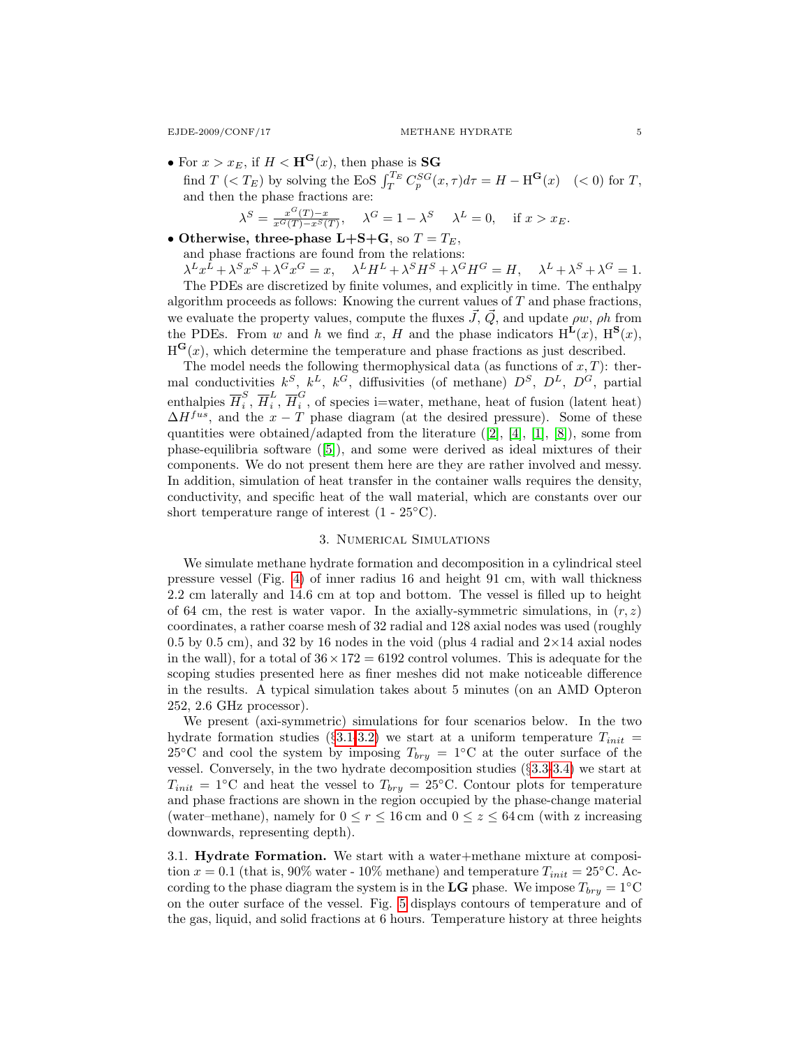• For  $x > x_E$ , if  $H < \mathbf{H}^{\mathbf{G}}(x)$ , then phase is **SG** find  $T \leq T_E$ ) by solving the EoS  $\int_T^{T_E} C_p^{SG}(x, \tau) d\tau = H - \text{H}^G(x) \quad (< 0) \text{ for } T$ , and then the phase fractions are:

$$
\lambda^{S} = \frac{x^{G}(T) - x}{x^{G}(T) - x^{S}(T)}, \quad \lambda^{G} = 1 - \lambda^{S} \quad \lambda^{L} = 0, \quad \text{if } x > x_{E}.
$$

• Otherwise, three-phase L+S+G, so  $T = T_E$ , and phase fractions are found from the relations:  $\lambda^L x^L + \lambda^S x^S + \lambda^G x^G = x$ ,  $\lambda^L H^L + \lambda^S H^S + \lambda^G H^G = H$ ,  $\lambda^L + \lambda^S + \lambda^G = 1$ . The PDEs are discretized by finite volumes, and explicitly in time. The enthalpy

algorithm proceeds as follows: Knowing the current values of  $T$  and phase fractions, we evaluate the property values, compute the fluxes  $\vec{J}, \vec{Q}$ , and update  $\rho w, \rho h$  from the PDEs. From w and h we find x, H and the phase indicators  $H^{L}(x)$ ,  $H^{S}(x)$ ,  $H^{G}(x)$ , which determine the temperature and phase fractions as just described.

The model needs the following thermophysical data (as functions of  $x, T$ ): thermal conductivities  $k^S$ ,  $k^L$ ,  $k^G$ , diffusivities (of methane)  $D^S$ ,  $D^L$ ,  $D^G$ , partial enthalpies  $\overline{H}_i^S$  $_i^S, \overline{H}_i^L$  $\frac{L}{i}$ ,  $\overline{H}_{i}^{G}$  $\tilde{i}$ , of species i=water, methane, heat of fusion (latent heat)  $\Delta H^{fus}$ , and the  $x - T$  phase diagram (at the desired pressure). Some of these quantities were obtained/adapted from the literature ([\[2\]](#page-10-0), [\[4\]](#page-10-1), [\[1\]](#page-10-5), [\[8\]](#page-10-6)), some from phase-equilibria software ([\[5\]](#page-10-7)), and some were derived as ideal mixtures of their components. We do not present them here are they are rather involved and messy. In addition, simulation of heat transfer in the container walls requires the density, conductivity, and specific heat of the wall material, which are constants over our short temperature range of interest  $(1 - 25\degree \text{C}).$ 

# 3. Numerical Simulations

<span id="page-4-1"></span>We simulate methane hydrate formation and decomposition in a cylindrical steel pressure vessel (Fig. [4\)](#page-5-0) of inner radius 16 and height 91 cm, with wall thickness 2.2 cm laterally and 14.6 cm at top and bottom. The vessel is filled up to height of 64 cm, the rest is water vapor. In the axially-symmetric simulations, in  $(r, z)$ coordinates, a rather coarse mesh of 32 radial and 128 axial nodes was used (roughly 0.5 by 0.5 cm), and 32 by 16 nodes in the void (plus 4 radial and  $2\times14$  axial nodes in the wall), for a total of  $36 \times 172 = 6192$  control volumes. This is adequate for the scoping studies presented here as finer meshes did not make noticeable difference in the results. A typical simulation takes about 5 minutes (on an AMD Opteron 252, 2.6 GHz processor).

We present (axi-symmetric) simulations for four scenarios below. In the two hydrate formation studies (§[3.1-](#page-4-0)[3.2\)](#page-5-1) we start at a uniform temperature  $T_{init}$  = 25°C and cool the system by imposing  $T_{bry} = 1$ °C at the outer surface of the vessel. Conversely, in the two hydrate decomposition studies (§[3.3-](#page-6-0)[3.4\)](#page-7-0) we start at  $T_{init} = 1°C$  and heat the vessel to  $T_{bry} = 25°C$ . Contour plots for temperature and phase fractions are shown in the region occupied by the phase-change material (water–methane), namely for  $0 \le r \le 16$  cm and  $0 \le z \le 64$  cm (with z increasing downwards, representing depth).

<span id="page-4-0"></span>3.1. Hydrate Formation. We start with a water+methane mixture at composition  $x = 0.1$  (that is, 90% water - 10% methane) and temperature  $T_{init} = 25$ °C. According to the phase diagram the system is in the LG phase. We impose  $T_{bry} = 1°C$ on the outer surface of the vessel. Fig. [5](#page-5-2) displays contours of temperature and of the gas, liquid, and solid fractions at 6 hours. Temperature history at three heights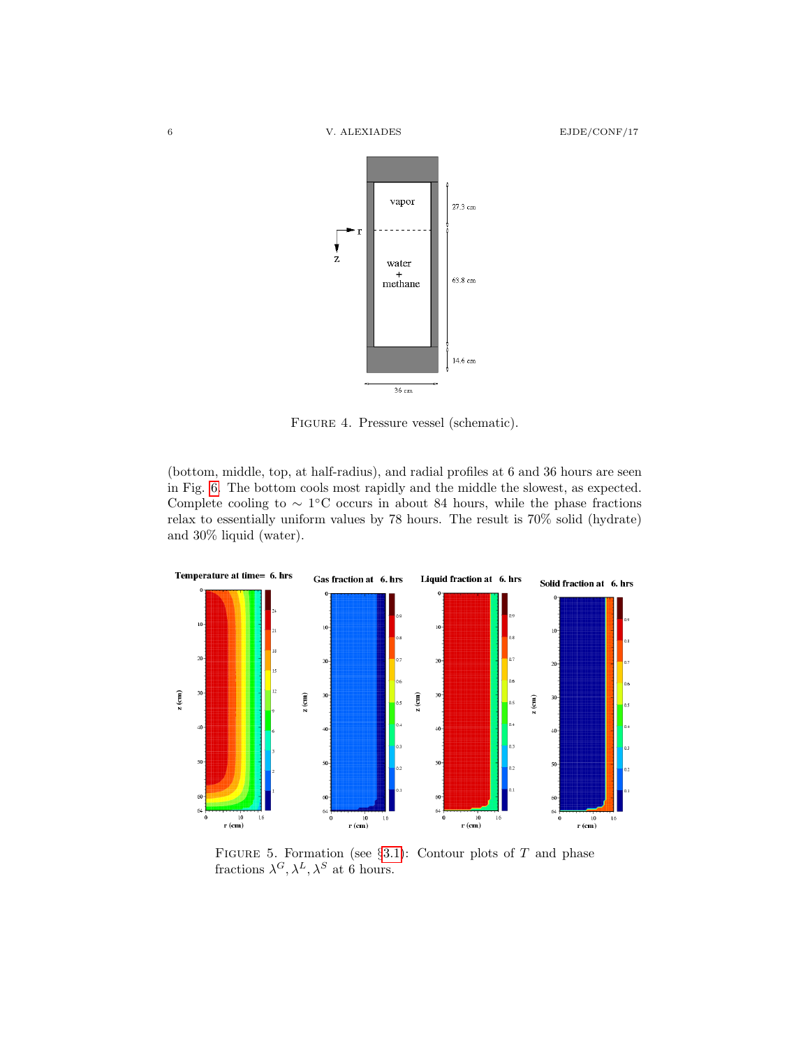

<span id="page-5-0"></span>Figure 4. Pressure vessel (schematic).

(bottom, middle, top, at half-radius), and radial profiles at 6 and 36 hours are seen in Fig. [6.](#page-6-1) The bottom cools most rapidly and the middle the slowest, as expected. Complete cooling to  $\sim 1$ °C occurs in about 84 hours, while the phase fractions relax to essentially uniform values by 78 hours. The result is 70% solid (hydrate) and 30% liquid (water).



<span id="page-5-2"></span><span id="page-5-1"></span>FIGURE 5. Formation (see  $\S 3.1$ ): Contour plots of T and phase fractions  $\lambda^G, \lambda^L, \lambda^S$  at 6 hours.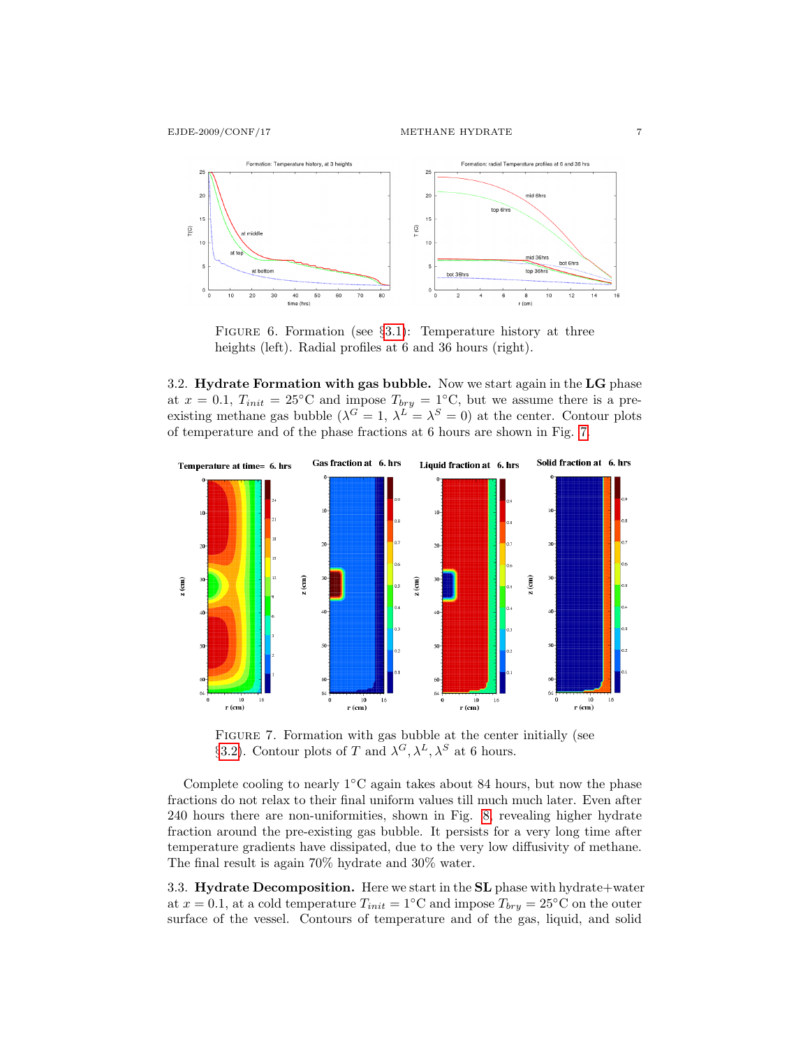

<span id="page-6-1"></span>FIGURE 6. Formation (see  $\S3.1$ ): Temperature history at three heights (left). Radial profiles at 6 and 36 hours (right).

3.2. Hydrate Formation with gas bubble. Now we start again in the LG phase at  $x = 0.1$ ,  $T_{init} = 25$ °C and impose  $T_{bry} = 1$ °C, but we assume there is a preexisting methane gas bubble  $(\lambda^G = 1, \lambda^L = \lambda^S = 0)$  at the center. Contour plots of temperature and of the phase fractions at 6 hours are shown in Fig. [7.](#page-6-2)



<span id="page-6-2"></span>Figure 7. Formation with gas bubble at the center initially (see §[3.2\)](#page-5-1). Contour plots of T and  $\lambda^G, \lambda^L, \lambda^S$  at 6 hours.

Complete cooling to nearly  $1<sup>°C</sup> again takes about 84 hours, but now the phase$ fractions do not relax to their final uniform values till much much later. Even after 240 hours there are non-uniformities, shown in Fig. [8,](#page-7-1) revealing higher hydrate fraction around the pre-existing gas bubble. It persists for a very long time after temperature gradients have dissipated, due to the very low diffusivity of methane. The final result is again 70% hydrate and 30% water.

<span id="page-6-0"></span>3.3. Hydrate Decomposition. Here we start in the SL phase with hydrate+water at  $x = 0.1$ , at a cold temperature  $T_{init} = 1$ °C and impose  $T_{bry} = 25$ °C on the outer surface of the vessel. Contours of temperature and of the gas, liquid, and solid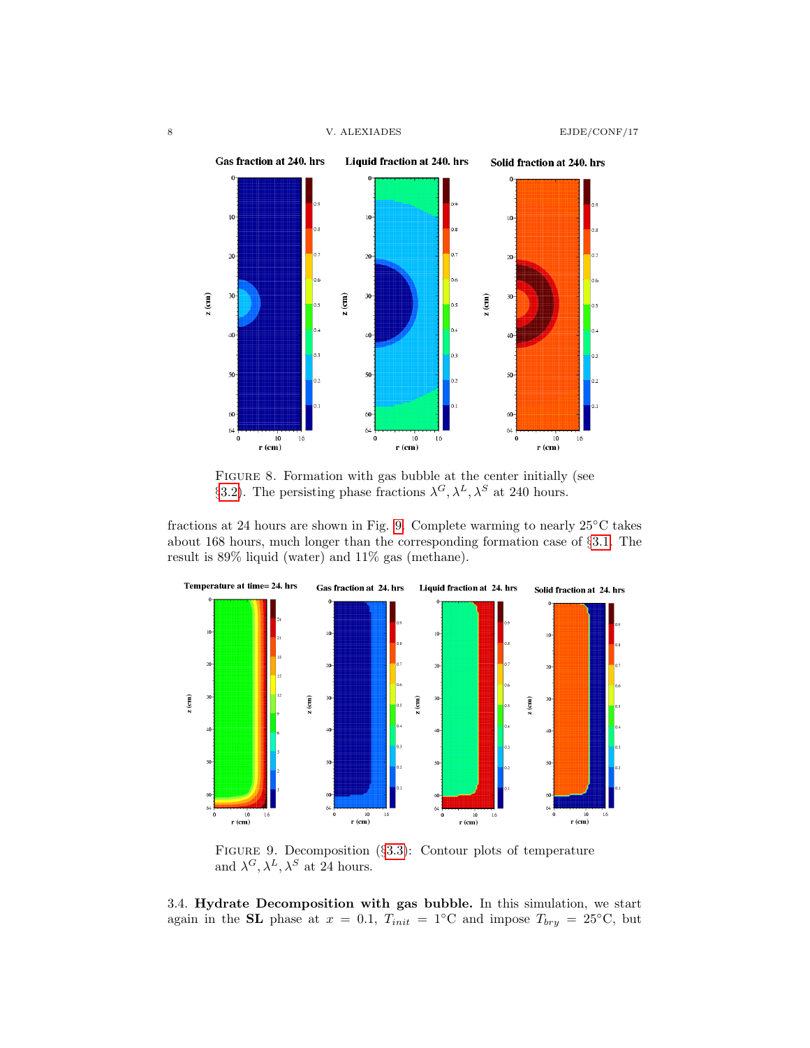

<span id="page-7-1"></span>FIGURE 8. Formation with gas bubble at the center initially (see §[3.2\)](#page-5-1). The persisting phase fractions  $\lambda^G, \lambda^L, \lambda^S$  at 240 hours.

fractions at 24 hours are shown in Fig. [9.](#page-7-2) Complete warming to nearly 25◦C takes about 168 hours, much longer than the corresponding formation case of §[3.1.](#page-4-0) The result is 89% liquid (water) and 11% gas (methane).



<span id="page-7-2"></span>Figure 9. Decomposition (§[3.3\)](#page-6-0): Contour plots of temperature and  $\lambda^G, \lambda^L, \lambda^S$  at 24 hours.

<span id="page-7-0"></span>3.4. Hydrate Decomposition with gas bubble. In this simulation, we start again in the SL phase at  $x = 0.1$ ,  $T_{init} = 1°C and impose  $T_{bry} = 25$ °C, but$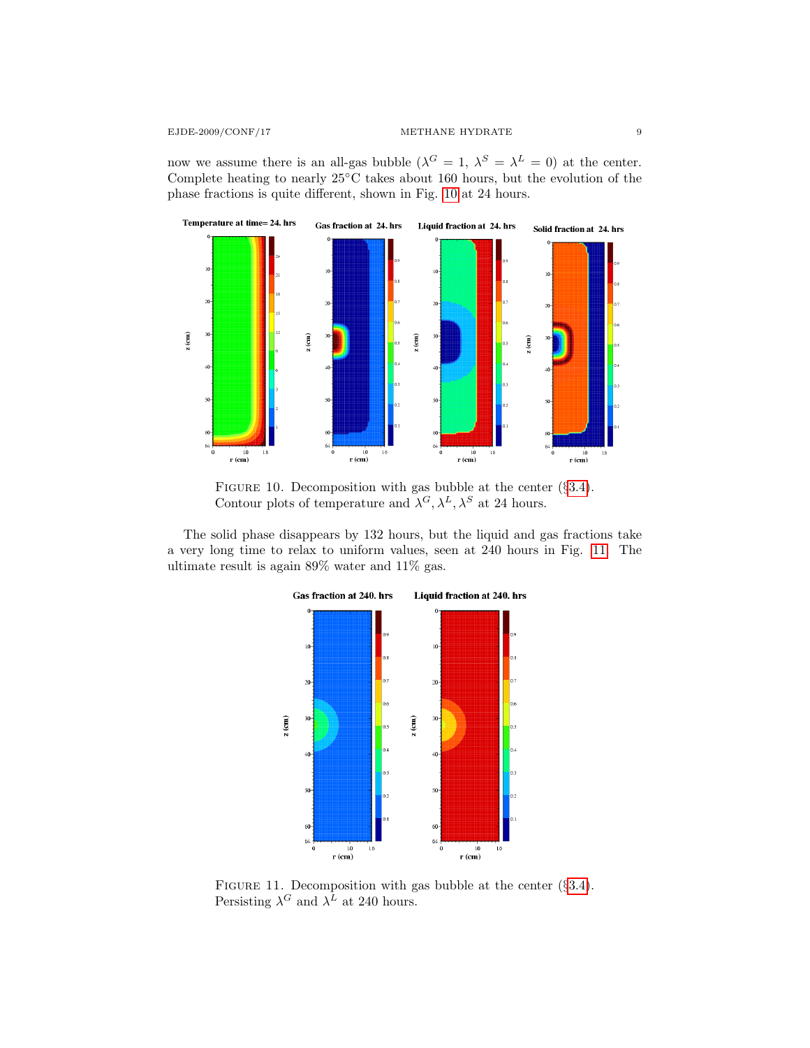now we assume there is an all-gas bubble  $(\lambda^G = 1, \lambda^S = \lambda^L = 0)$  at the center. Complete heating to nearly 25◦C takes about 160 hours, but the evolution of the phase fractions is quite different, shown in Fig. [10](#page-8-0) at 24 hours.



<span id="page-8-0"></span>FIGURE 10. Decomposition with gas bubble at the center  $(\S 3.4)$  $(\S 3.4)$ . Contour plots of temperature and  $\lambda^G$ ,  $\lambda^L$ ,  $\lambda^S$  at 24 hours.

The solid phase disappears by 132 hours, but the liquid and gas fractions take a very long time to relax to uniform values, seen at 240 hours in Fig. [11.](#page-8-1) The ultimate result is again 89% water and 11% gas.



<span id="page-8-1"></span>FIGURE 11. Decomposition with gas bubble at the center (§[3.4\)](#page-7-0). Persisting  $\lambda^G$  and  $\lambda^L$  at 240 hours.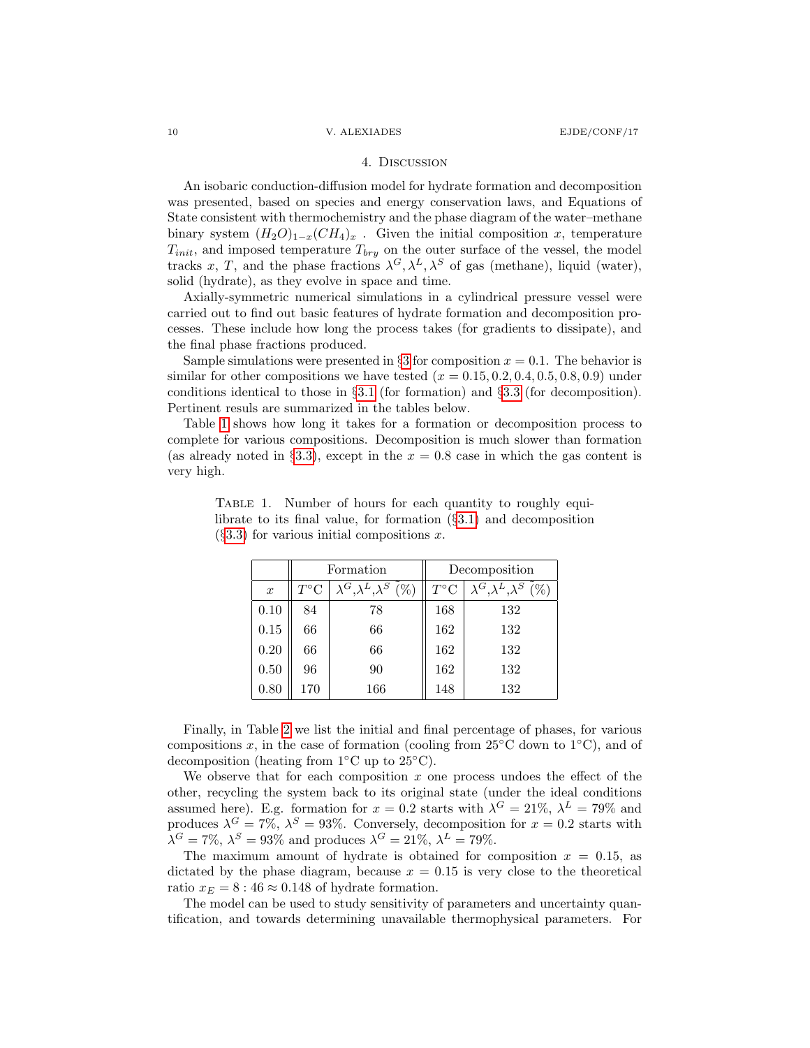# 4. Discussion

An isobaric conduction-diffusion model for hydrate formation and decomposition was presented, based on species and energy conservation laws, and Equations of State consistent with thermochemistry and the phase diagram of the water–methane binary system  $(H_2O)_{1-x}(CH_4)_x$ . Given the initial composition x, temperature  $T_{init}$ , and imposed temperature  $T_{bry}$  on the outer surface of the vessel, the model tracks x, T, and the phase fractions  $\lambda^G, \lambda^L, \lambda^S$  of gas (methane), liquid (water), solid (hydrate), as they evolve in space and time.

Axially-symmetric numerical simulations in a cylindrical pressure vessel were carried out to find out basic features of hydrate formation and decomposition processes. These include how long the process takes (for gradients to dissipate), and the final phase fractions produced.

Sample simulations were presented in  $\S 3$  $\S 3$  for composition  $x = 0.1$ . The behavior is similar for other compositions we have tested  $(x = 0.15, 0.2, 0.4, 0.5, 0.8, 0.9)$  under conditions identical to those in §[3.1](#page-4-0) (for formation) and §[3.3](#page-6-0) (for decomposition). Pertinent resuls are summarized in the tables below.

Table [1](#page-9-0) shows how long it takes for a formation or decomposition process to complete for various compositions. Decomposition is much slower than formation (as already noted in §[3.3\)](#page-6-0), except in the  $x = 0.8$  case in which the gas content is very high.

|                  |              | Formation                                   | Decomposition          |                                             |  |
|------------------|--------------|---------------------------------------------|------------------------|---------------------------------------------|--|
| $\boldsymbol{x}$ | $T^{\circ}C$ | $\lambda^G, \lambda^L, \lambda^S$<br>$(\%)$ | $T^{\circ}\mathcal{C}$ | $\lambda^G, \lambda^L, \lambda^S$<br>$(\%)$ |  |
| 0.10             | 84           | 78                                          | 168                    | 132                                         |  |
| 0.15             | 66           | 66                                          | 162                    | 132                                         |  |
| 0.20             | 66           | 66                                          | 162                    | 132                                         |  |
| 0.50             | 96           | 90                                          | 162                    | 132                                         |  |
| 0.80             | 170          | 166                                         | 148                    | 132                                         |  |

<span id="page-9-0"></span>TABLE 1. Number of hours for each quantity to roughly equilibrate to its final value, for formation (§[3.1\)](#page-4-0) and decomposition  $(83.3)$  $(83.3)$  for various initial compositions x.

Finally, in Table [2](#page-10-8) we list the initial and final percentage of phases, for various compositions x, in the case of formation (cooling from 25°C down to  $1°C$ ), and of decomposition (heating from 1◦C up to 25◦C).

We observe that for each composition  $x$  one process undoes the effect of the other, recycling the system back to its original state (under the ideal conditions assumed here). E.g. formation for  $x = 0.2$  starts with  $\lambda^G = 21\%$ ,  $\lambda^L = 79\%$  and produces  $\lambda^G = 7\%, \lambda^S = 93\%$ . Conversely, decomposition for  $x = 0.2$  starts with  $\lambda^G = 7\%, \lambda^S = 93\%$  and produces  $\lambda^G = 21\%, \lambda^L = 79\%.$ 

The maximum amount of hydrate is obtained for composition  $x = 0.15$ , as dictated by the phase diagram, because  $x = 0.15$  is very close to the theoretical ratio  $x_E = 8 : 46 \approx 0.148$  of hydrate formation.

The model can be used to study sensitivity of parameters and uncertainty quantification, and towards determining unavailable thermophysical parameters. For